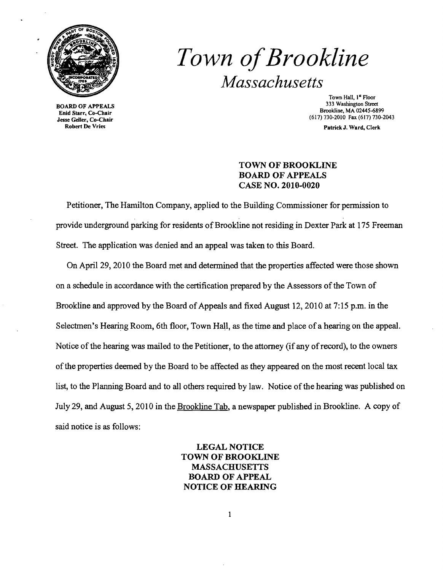

Enid Starr, Co-Chair<br>Jesse Geller, Co-Chair

## *Town ofBrookline Massachusetts*

Town Hall, 1<sup>st</sup> Floor<br>333 Washington Street 333 Washington Street Bookline, MA 02445-6899<br>Enid State Co Chair (617) 730-2010 Fax (617) 730-2043

Robert De Vries Patrick J. Ward, Clerk

## TOWN OF BROOKLINE BOARD OF APPEALS CASE NO. 2010-0020

Petitioner, The Hamilton Company, applied to the Building Commissioner for permission to provide underground parking for residents of Brookline not residing in Dexter Park at 175 Freeman Street. The application was denied and an appeal was taken to this Board.

On April 29, 2010 the Board met and determined that the properties affected were those shown on a schedule in accordance with the certification prepared by the Assessors ofthe Town of Brookline and approved by the Board of Appeals and fixed August 12, 2010 at 7:15 p.m. in the Selectmen's Hearing Room, 6th floor, Town Hall, as the time and place of a hearing on the appeal. Notice of the hearing was mailed to the Petitioner, to the attorney (if any of record), to the owners ofthe properties deemed by the Board to be affected as they appeared on the most recent local tax list, to the Planning Board and to all others required by law. Notice of the hearing was published on July 29, and August 5, 2010 in the Brookline Tab, a newspaper published in Brookline. A copy of said notice is as follows:

> LEGAL NOTICE TOWN OF BROOKLINE MASSACHUSETTS BOARD OF APPEAL NOTICE OF HEARING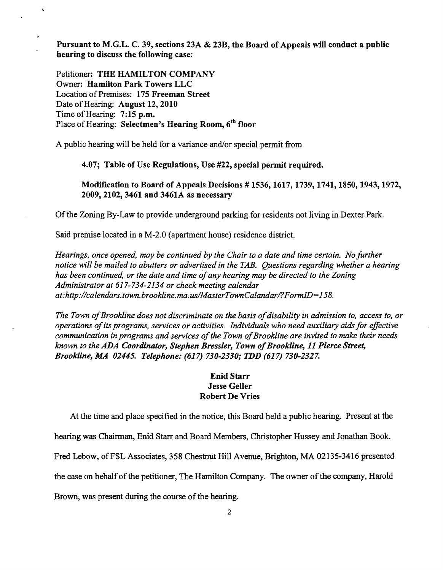Pursuant to M.G.L. C. 39, sections 23A & 23B, the Board of Appeals will conduct a public hearing to discuss the following case:

Petitioner: THE HAMILTON COMPANY Owner: Hamilton Park Towers LLC Location of Premises: 175 Freeman Street Date of Hearing: August 12, 2010 Time of Hearing: 7:15 p.m. Place of Hearing: Selectmen's Hearing Room. 6<sup>th</sup> floor

A public hearing will be held for a variance and/or special permit from

4.07; Table of Use Regulations, Use #22, special permit required.

Modification to Board of Appeals Decisions # 1536, 1617, 1739, 1741,1850,1943,1972, 2009, 2102, 3461 and 3461A as necessary

Of the Zoning By-Law to provide underground parking for residents not living in. Dexter Park.

Said premise located in a M-2.0 (apartment house) residence district.

*Hearings. once opened, may be continued by the Chair to a date and time certain. No further notice will be mailed to abutters or adveriised in the TAB. Questions regarding whether a hearing has been continued, or the date and time ofany hearing may be directed to the Zoning Administrator at* 617-734-2134 *or check meeting calendar at:http://calendars.town.brookline.ma.usIMasterTownCalandarl?FormID=158.* 

The Town of Brookline does not discriminate on the basis of disability in admission to, access to, or *operations ofits programs, services or activities. Individuals who need auxiliary aids for effective communication in programs and services of the Town of Brookline are invited to make their needs known to the ADA Coordinator, Stephen Bressler, Town of Brookline, 11 Pierce Street, Brookline, MA 02445. Telephone:* (617) *730-2330; TDD* (617) *730-2327.* 

## Enid Starr Jesse Geller Robert De Vries

At the time and place specified in the notice, this Board held a public hearing. Present at the

hearing was Chairman, Enid Starr and Board Members, Christopher Hussey and Jonathan Book.

Fred Lebow, of FSL Associates, 358 Chestnut Hill Avenue, Brighton, MA 02135-3416 presented

the case on behalfofthe petitioner, The Hamilton Company. The owner ofthe company, Harold

Brown, was present during the course of the hearing.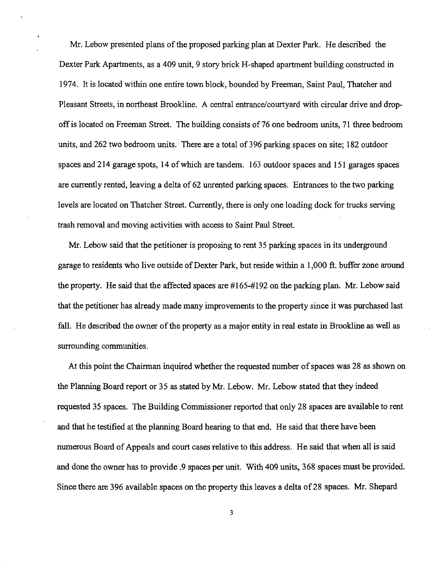Mr. Lebow presented plans of the proposed parking plan at Dexter Park. He described the Dexter Park Apartments, as a 409 unit, 9 story brick H-shaped apartment building constructed in 1974. It is located within one entire town block, bounded by Freeman, Saint Paul, Thatcher and Pleasant Streets, in northeast Brookline. A central entrance/courtyard with circular drive and dropoffis located on Freeman Street. The building consists of76 one bedroom units, 71 three bedroom units, and 262 two bedroom units. There are a total of 396 parking spaces on site; 182 outdoor spaces and 214 garage spots, 14 ofwhich are tandem. 163 outdoor spaces and 151 garages spaces are currently rented, leaving a delta of 62 unrented parking spaces. Entrances to the two parking levels are located on Thatcher Street. Currently, there is only one loading dock for trucks serving trash removal and moving activities with access to Saint Paul Street.

Mr. Lebow said that the petitioner is proposing to rent 35 parking spaces in its underground garage to residents who live outside of Dexter Park, but reside within a 1,000 ft. buffer zone around the property. He said that the affected spaces are #165-#192 on the parking plan. Mr. Lebow said that the petitioner has already made many improvements to the property since it was purchased last fall. He described the owner of the property as a major entity in real estate in Brookline as well as surrounding communities.

At this point the Chairman inquired whether the requested number of spaces was 28 as shown on the Planning Board report or 35 as stated by Mr. Lebow. Mr. Lebow stated that they indeed requested 35 spaces. The Building Commissioner reported that only 28 spaces are available to rent and that he testified at the planning Board hearing to that end. He said that there have been numerous Board of Appeals and court cases relative to this address. He said that when all is said and done the owner has to provide.9 spaces per unit. With 409 units, 368 spaces must be provided. Since there are 396 available spaces on the property this leaves a delta of28 spaces. Mr. Shepard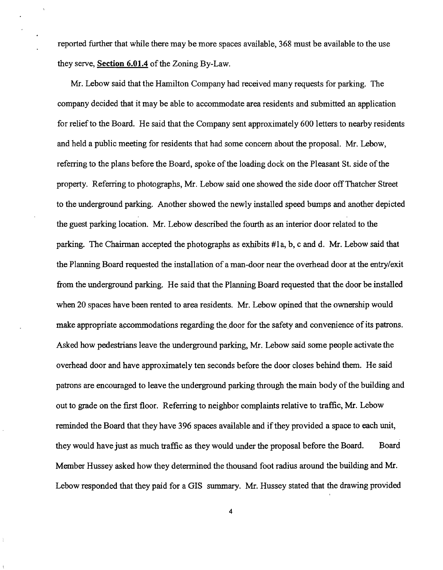reported further that while there may be more spaces available, 368 must be available to the use they serve, Section  $6.01.4$  of the Zoning By-Law.

Mr. Lebow said that the Hamilton Company had received many requests for parking. The company decided that it may be able to accommodate area residents and submitted an application for relief to the Board. He said that the Company sent approximately 600 letters to nearby residents and held a public meeting for residents that had some concern about the proposal. Mr. Lebow, referring to the plans before the Board, spoke of the loading dock on the Pleasant St. side of the property. Referring to photographs, Mr. Lebow said one showed the side door off Thatcher Street to the underground parking. Another showed the newly installed speed bumps and another depicted the guest parking location. Mr. Lebow described the fourth as an interior door related to the parking. The Chairman accepted the photographs as exhibits #1 a, b, c and d. Mr. Lebow said that the Planning Board requested the installation of a man-door near the overhead door at the entry/exit from the underground parking. He said that the Planning Board requested that the door be installed when 20 spaces have been rented to area residents. Mr. Lebow opined that the ownership would make appropriate accommodations regarding the door for the safety and convenience of its patrons. Asked how pedestrians leave the underground parking, Mr. Lebow said some people activate the overhead door and have approximately ten seconds before the door closes behind them. He said patrons are encouraged to leave the underground parking through the main body of the building and out to grade on the first floor. Referring to neighbor complaints relative to traffic, Mr. Lebow reminded the Board that they have 396 spaces available and ifthey provided a space to each unit, they would have just as much traffic as they would under the proposal before the Board. Board Member Hussey asked how they determined the thousand foot radius around the building and Mr. Lebow responded that they paid for a GIS summary. Mr. Hussey stated that the drawing provided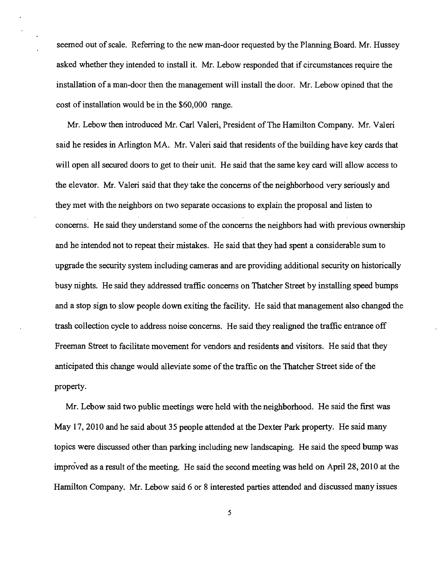seemed out of scale. Referring to the new man-door requested by the Planning Board. Mr. Hussey asked whether they intended to install it. Mr. Lebow responded that if circumstances require the installation of a man-door then the management will install the door. Mr. Lebow opined that the cost of installation would be in the \$60,000 range.

Mr. Lebow then introduced Mr. Carl Valeri, President ofThe Hamilton Company. Mr. Valeri said he resides in Arlington MA. Mr. Valeri said that residents of the building have key cards that will open all secured doors to get to their unit. He said that the same key card will allow access to the elevator. Mr. Valeri said that they take the concerns of the neighborhood very seriously and they met with the neighbors on two separate occasions to explain the proposal and listen to concerns. He said they understand some of the concerns the neighbors had with previous ownership and he intended not to repeat their mistakes. He said that they had spent a considerable sum to upgrade the security system including cameras and are providing additional security on historically busy nights. He said they addressed traffic concerns on Thatcher Street by installing speed bumps and a stop sign to slow people down exiting the facility. He said that management also changed the trash collection cycle to address noise concerns. He said they realigned the traffic entrance off Freeman Street to facilitate movement for vendors and residents and visitors. He said that they anticipated this change would alleviate some of the traffic on the Thatcher Street side of the property.

Mr. Lebow said two public meetings were held with the neighborhood. He said the first was May 17, 2010 and he said about 35 people attended at the Dexter Park property. He said many topics were discussed other than parking including new landscaping. He said the speed bump was improved as a result of the meeting. He said the second meeting was held on April 28, 2010 at the Hamilton Company. Mr. Lebow said 6 or 8 interested parties attended and discussed many issues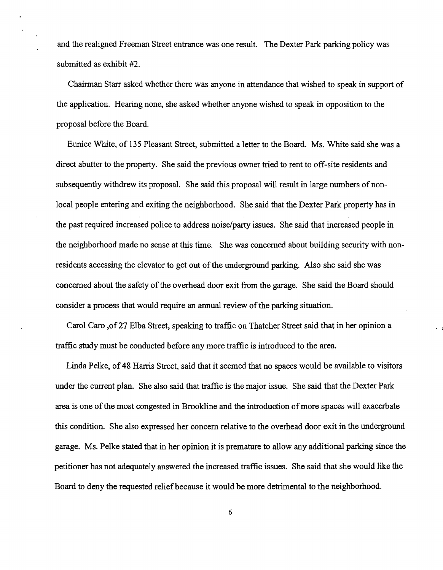and the realigned Freeman Street entrance was one result. The Dexter Park parking policy was submitted as exhibit #2.

Chairman Starr asked whether there was anyone in attendance that wished to speak in support of the application. Hearing none, she asked whether anyone wished to speak in opposition to the proposal before the Board.

Eunice White, of 135 Pleasant Street, submitted a letter to the Board. Ms. White said she was a direct abutter to the property. She said the previous owner tried to rent to off-site residents and subsequently withdrew its proposal. She said this proposal will result in large numbers of nonlocal people entering and exiting the neighborhood. She said that the Dexter Park property has in the past required increased police to address noise/party issues. She said that increased people in the neighborhood made no sense at this time. She was concerned about building security with nonresidents accessing the elevator to get out of the underground parking. Also she said she was concerned about the safety of the overhead door exit from the garage. She said the Board should consider a process that would require an annual review of the parking situation.

Carol Caro ,of27 Elba Street, speaking to traffic on Thatcher Street said that in her opinion a traffic study must be conducted before any more traffic is introduced to the area.

Linda Pelke, of 48 Harris Street, said that it seemed that no spaces would be available to visitors under the current plan. She also said that traffic is the major issue. She said that the Dexter Park area is one of the most congested in Brookline and the introduction of more spaces will exacerbate this condition. She also expressed her concern relative to the overhead door exit in the underground garage. Ms. Pelke stated that in her opinion it is premature to allow any additional parking since the petitioner has not adequately answered the increased traffic issues. She said that she would like the Board to deny the requested relief because it would be more detrimental to the neighborhood.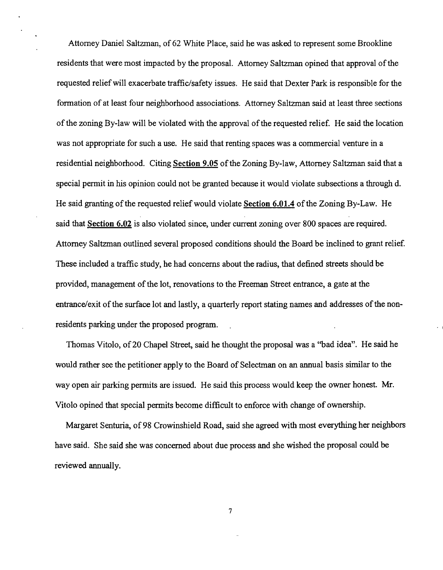Attorney Daniel Saltzman, of 62 White Place, said he was asked to represent some Brookline residents that were most impacted by the proposal. Attorney Saltzman opined that approval of the requested relief will exacerbate traffic/safety issues. He said that Dexter Park is responsible for the formation of at least four neighborhood associations. Attorney Saltzman said at least three sections of the zoning By-law will be violated with the approval of the requested relief. He said the location was not appropriate for such a use. He said that renting spaces was a commercial venture in a residential neighborhood. Citing **Section 9.05** of the Zoning By-law, Attorney Saltzman said that a special permit in his opinion could not be granted because it would violate subsections a through d. He said granting of the requested relief would violate Section 6.01.4 of the Zoning By-Law. He said that **Section 6.02** is also violated since, under current zoning over 800 spaces are required. Attorney Saltzman outlined several proposed conditions should the Board be inclined to grant relief. These included a traffic study, he had concerns about the radius, that defined streets should be provided, management of the lot, renovations to the Freeman Street entrance, a gate at the entrance/exit of the surface lot and lastly, a quarterly report stating names and addresses of the nonresidents parking under the proposed program.

Thomas Vitolo, of 20 Chapel Street, said he thought the proposal was a "bad idea". He said he would rather see the petitioner apply to the Board of Selectman on an annual basis similar to the way open air parking permits are issued. He said this process would keep the owner honest. Mr. Vitolo opined that special permits become difficult to enforce with change of ownership.

Margaret Senturia, of 98 Crowinshield Road, said she agreed with most everything her neighbors have said. She said she was concerned about due process and she wished the proposal could be reviewed annually.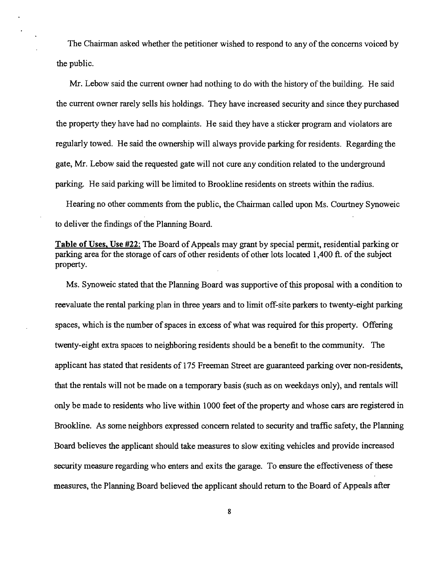The Chairman asked whether the petitioner wished to respond to any of the concerns voiced by the public.

Mr. Lebow said the current owner had nothing to do with the history of the building. He said the current owner rarely sells his holdings. They have increased security and since they purchased the property they have had no complaints. He said they have a sticker program and violators are regularly towed. He said the ownership will always provide parking for residents. Regarding the gate, Mr. Lebow said the requested gate will not cure any condition related to the underground parking. He said parking will be limited to Brookline residents on streets within the radius.

Hearing no other comments from the public, the Chairman called upon Ms. Courtney Synoweic to deliver the findings of the Planning Board.

**Table of Uses, Use #22:** The Board of Appeals may grant by special permit, residential parking or parking area for the storage of cars of other residents of other lots located 1,400 ft. of the subject property.

Ms. Synoweic stated that the Planning Board was supportive of this proposal with a condition to reevaluate the rental parking plan in three years and to limit off-site parkers to twenty-eight parking spaces, which is the number of spaces in excess of what was required for this property. Offering twenty-eight extra spaces to neighboring residents should be a benefit to the community. The applicant has stated that residents of 175 Freeman Street are guaranteed parking over non-residents, that the rentals will not be made on a temporary basis (such as on weekdays only), and rentals will only be made to residents who live within 1000 feet of the property and whose cars are registered in Brookline. As some neighbors expressed concern related to security and traffic safety, the Planning Board believes the applicant should take measures to slow exiting vehicles and provide increased security measure regarding who enters and exits the garage. To ensure the effectiveness of these measures, the Planning Board believed the applicant should return to the Board of Appeals after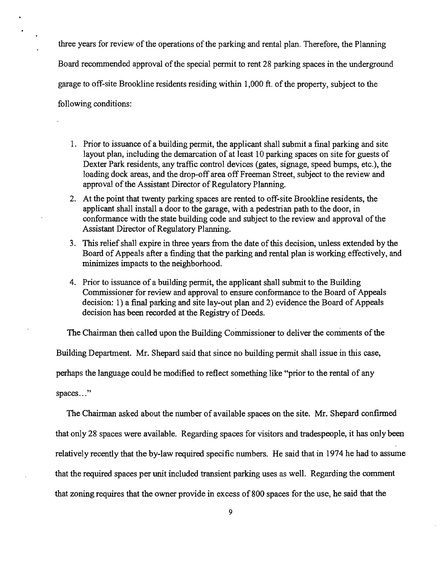three years for review of the operations of the parking and rental plan. Therefore, the Planning Board recommended approval of the special permit to rent 28 parking spaces in the underground garage to off-site Brookline residents residing within 1,000 ft. of the property, subject to the following conditions:

- 1. Prior to issuance of a building permit, the applicant shall submit a final parking and site layout plan, including the demarcation of at least 10 parking spaces on site for guests of Dexter Park residents, any traffic control devices (gates, signage, speed bumps, etc.), the loading dock areas, and the drop-off area off Freeman Street, subject to the review and approval of the Assistant Director of Regulatory Planning.
- 2. At the point that twenty parking spaces are rented to off-site Brookline residents, the applicant shall install a door to the garage, with a pedestrian path to the door, in conformance with the state building code and subject to the review and approval of the Assistant Director of Regulatory Planning.
- 3. This relief shall expire in three years from the date of this decision, unless extended by the Board of Appeals after a finding that the parking and rental plan is working effectively, and minimizes impacts to the neighborhood.
- 4. Prior to issuance of a building permit, the applicant shall submit to the Building Commissioner for review and approval to ensure conformance to the Board of Appeals decision: 1) a final parking and site lay-out plan and 2) evidence the Board of Appeals decision has been recorded at the Registry of Deeds.

The Chairman then called upon the Building Commissioner to deliver the comments of the Building Department. Mr. Shepard said that since no building permit shall issue in this case, perhaps the language could be modified to reflect something like "prior to the rental of any spaces..."

The Chairman asked about the number of available spaces on the site. Mr. Shepard confirmed that only 28 spaces were available. Regarding spaces for visitors and tradespeople, it has only been relatively recently that the by-law required specific numbers. He said that in 1974 he had to assume that the required spaces per unit included transient parking uses as well. Regarding the comment that zoning requires that the owner provide in excess of 800 spaces for the use, he said that the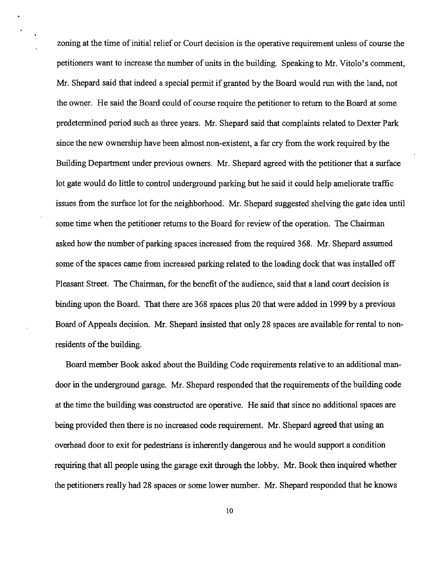zoning at the time of initial relief or Court decision is the operative requirement unless of course the petitioners want to increase the number of units in the building. Speaking to Mr. Vitolo's comment, Mr. Shepard said that indeed a special permit if granted by the Board would run with the land, not the owner. He said the Board could of course require the petitioner to return to the Board at some predetermined period such as three years. Mr. Shepard said that complaints related to Dexter Park since the new ownership have been almost non-existent, a far cry from the work required by the Building Department under previous owners. Mr. Shepard agreed with the petitioner that a surface lot gate would do little to control underground parking but he said it could help ameliorate traffic issues from the surface lot for the neighborhood. Mr. Shepard suggested shelving the gate idea until some time when the petitioner returns to the Board for review of the operation. The Chairman asked how the number of parking spaces increased from the required 368. Mr. Shepard assumed some of the spaces came from increased parking related to the loading dock that was installed off Pleasant Street. The Chairman, for the benefit of the audience, said that a land court decision is binding upon the Board. That there are 368 spaces plus 20 that were added in 1999 by a previous Board of Appeals decision. Mr. Shepard insisted that only 28 spaces are available for rental to nonresidents of the building.

Board member Book asked about the Building Code requirements relative to an additional mandoor in the underground garage. Mr. Shepard responded that the requirements of the building code at the time the building was constructed are operative. He said that since no additional spaces are being provided then there is no increased code requirement. Mr. Shepard agreed that using an overhead door to exit for pedestrians is inherently dangerous and he would support a condition requiring that all people using the garage exit through the lobby. Mr. Book then inquired whether the petitioners really had 28 spaces or some lower number. Mr. Shepard responded that he knows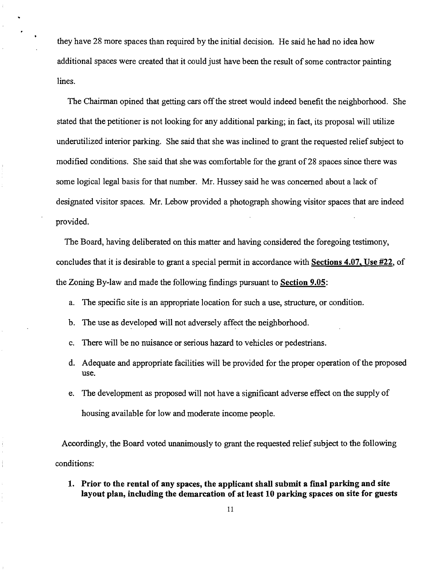they have 28 more spaces than required by the initial decision. He said he had no idea how additional spaces were created that it could just have been the result of some contractor painting lines.

The Chairman opined that getting cars off the street would indeed benefit the neighborhood. She stated that the petitioner is not looking for any additional parking; in fact, its proposal will utilize underutilized interior parking. She said that she was inclined to grant the requested relief subject to modified conditions. She said that she was comfortable for the grant of 28 spaces since there was some logical legal basis for that number. Mr. Hussey said he was concerned about a lack of designated visitor spaces. Mr. Lebow provided a photograph showing visitor spaces that are indeed provided.

The Board, having deliberated on this matter and having considered the foregoing testimony, concludes that it is desirable to grant a special permit in accordance with Sections 4.07, Use #22, of the Zoning By-law and made the following findings pursuant to Section 9.05:

- a. The specific site is an appropriate location for such a use, structure, or condition.
- b. The use as developed will not adversely affect the neighborhood.
- c. There will be no nuisance or serious hazard to vehicles or pedestrians.
- d. Adequate and appropriate facilities will be provided for the proper operation of the proposed use.
- e. The development as proposed will not have a significant adverse effect on the supply of housing available for low and moderate income people.

Accordingly, the Board voted unanimously to grant the requested relief subject to the following conditions:

1. Prior to the rental of any spaces, the applicant shall submit a final parking and site layout plan, including the demarcation of at least 10 parking spaces on site for guests